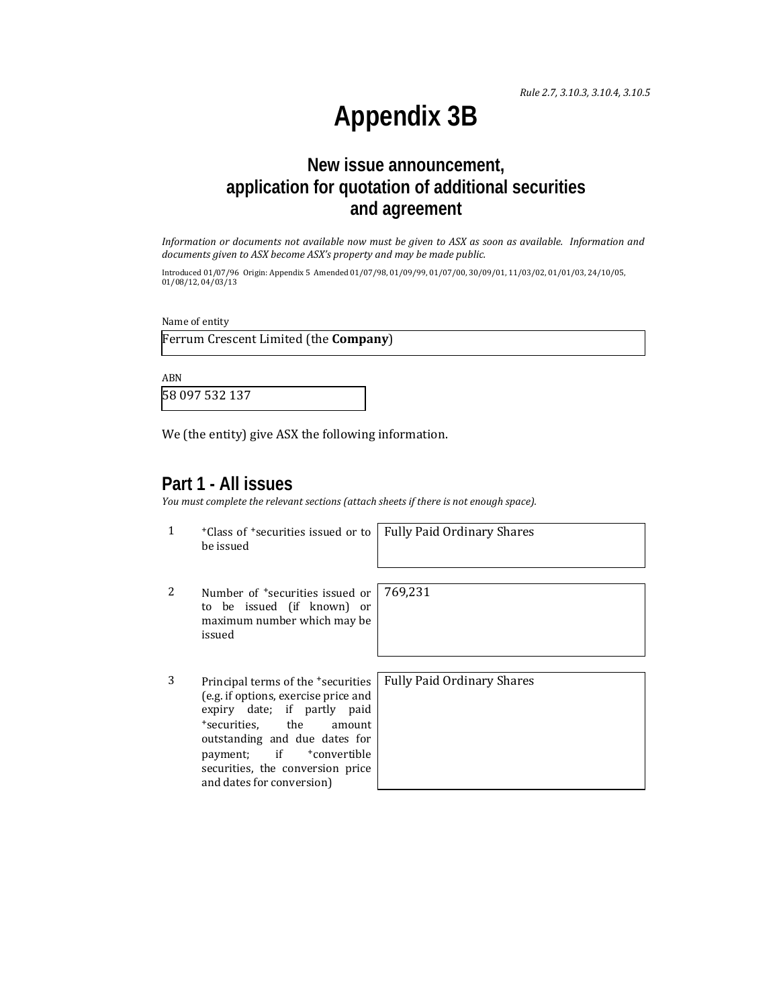*Rule 2.7, 3.10.3, 3.10.4, 3.10.5*

# **Appendix 3B**

## **New issue announcement, application for quotation of additional securities and agreement**

Information or documents not available now must be given to ASX as soon as available. Information and *documents given to ASX become ASX's property and may be made public.*

Introduced 01/07/96 Origin: Appendix 5 Amended 01/07/98, 01/09/99, 01/07/00, 30/09/01, 11/03/02, 01/01/03, 24/10/05,  $01/08/12, 04/03/13$ 

Name of entity

Ferrum Crescent Limited (the **Company**)

ABN 

58 097 532 137 

We (the entity) give ASX the following information.

### **Part 1 - All issues**

*You must complete the relevant sections (attach sheets if there is not enough space).*

1 <sup>+</sup>Class of <sup>+</sup>securities issued or to be issued

Fully Paid Ordinary Shares

- 2 Number of <sup>+</sup>securities issued or to be issued (if known) or maximum number which may be issued 769,231
- 3 Principal terms of the <sup>+</sup>security (e.g. if options, exercise pric expiry date; if partly +securities, the an outstanding and due date payment; if  $+$ conve securities, the conversion and dates for conversion)

| <b>arities</b> | <b>Fully Paid Ordinary Shares</b> |
|----------------|-----------------------------------|
| e and          |                                   |
| paid           |                                   |
| nount          |                                   |
| es for         |                                   |
| ertible        |                                   |
| price          |                                   |
|                |                                   |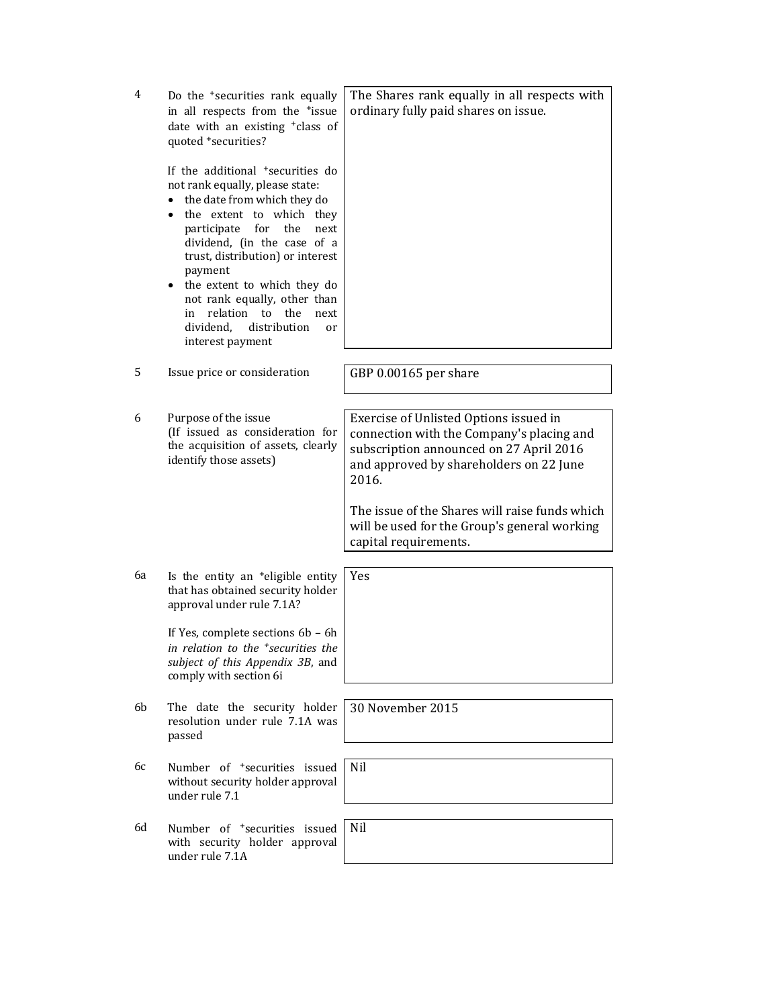| 4  | Do the <sup>+</sup> securities rank equally<br>in all respects from the <sup>+</sup> issue<br>date with an existing <sup>+</sup> class of<br>quoted +securities?<br>If the additional <sup>+</sup> securities do<br>not rank equally, please state:<br>the date from which they do<br>$\bullet$<br>the extent to which they<br>$\bullet$<br>participate<br>for<br>the<br>next<br>dividend, (in the case of a<br>trust, distribution) or interest<br>payment<br>the extent to which they do | The Shares rank equally in all respects with<br>ordinary fully paid shares on issue.                                                                                               |
|----|--------------------------------------------------------------------------------------------------------------------------------------------------------------------------------------------------------------------------------------------------------------------------------------------------------------------------------------------------------------------------------------------------------------------------------------------------------------------------------------------|------------------------------------------------------------------------------------------------------------------------------------------------------------------------------------|
|    | not rank equally, other than<br>relation to<br>the<br>in<br>next<br>dividend,<br>distribution<br>or<br>interest payment                                                                                                                                                                                                                                                                                                                                                                    |                                                                                                                                                                                    |
| 5  | Issue price or consideration                                                                                                                                                                                                                                                                                                                                                                                                                                                               | GBP 0.00165 per share                                                                                                                                                              |
|    |                                                                                                                                                                                                                                                                                                                                                                                                                                                                                            |                                                                                                                                                                                    |
| 6  | Purpose of the issue<br>(If issued as consideration for<br>the acquisition of assets, clearly<br>identify those assets)                                                                                                                                                                                                                                                                                                                                                                    | Exercise of Unlisted Options issued in<br>connection with the Company's placing and<br>subscription announced on 27 April 2016<br>and approved by shareholders on 22 June<br>2016. |
|    |                                                                                                                                                                                                                                                                                                                                                                                                                                                                                            | The issue of the Shares will raise funds which<br>will be used for the Group's general working<br>capital requirements.                                                            |
|    |                                                                                                                                                                                                                                                                                                                                                                                                                                                                                            |                                                                                                                                                                                    |
| 6а | Is the entity an <sup>+</sup> eligible entity<br>that has obtained security holder<br>approval under rule 7.1A?                                                                                                                                                                                                                                                                                                                                                                            | Yes                                                                                                                                                                                |
|    | If Yes, complete sections 6b - 6h<br>in relation to the <sup>+</sup> securities the<br>subject of this Appendix 3B, and<br>comply with section 6i                                                                                                                                                                                                                                                                                                                                          |                                                                                                                                                                                    |
| 6b | The date the security holder<br>resolution under rule 7.1A was<br>passed                                                                                                                                                                                                                                                                                                                                                                                                                   | 30 November 2015                                                                                                                                                                   |
| 6с | Number of <sup>+</sup> securities issued<br>without security holder approval<br>under rule 7.1                                                                                                                                                                                                                                                                                                                                                                                             | Nil                                                                                                                                                                                |
| 6d | Number of <sup>+</sup> securities issued<br>with security holder approval<br>under rule 7.1A                                                                                                                                                                                                                                                                                                                                                                                               | Nil                                                                                                                                                                                |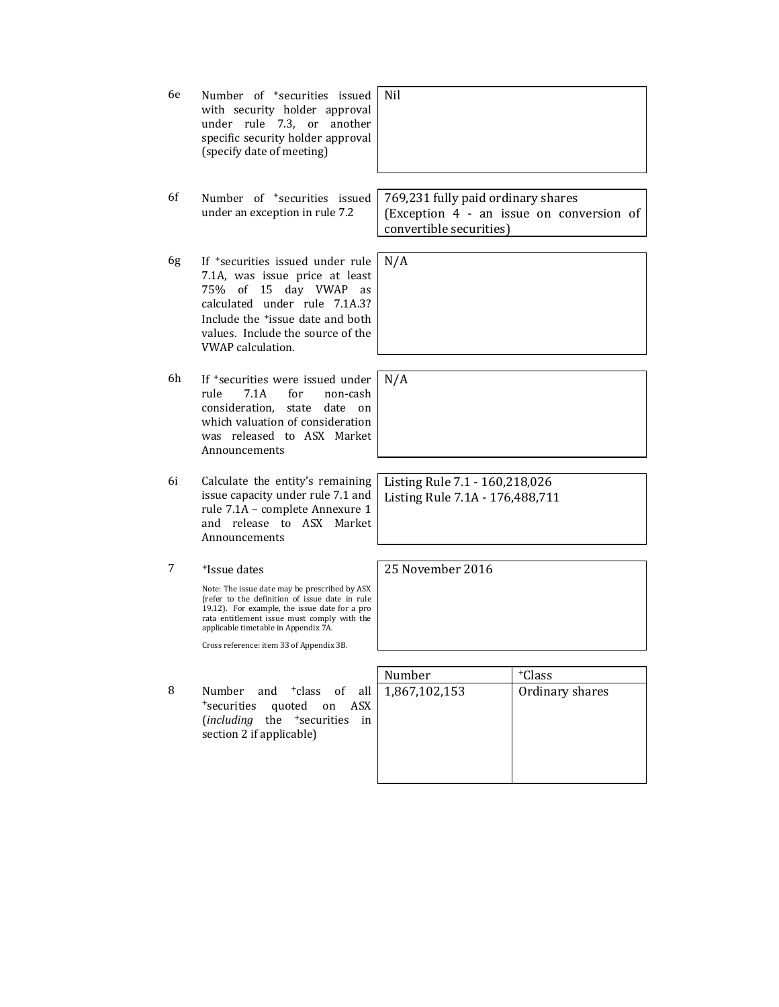| 6e | Number of <sup>+</sup> securities issued<br>with security holder approval<br>under rule 7.3, or<br>another<br>specific security holder approval<br>(specify date of meeting)                                                                                                                                    | Nil                                                               |                                          |
|----|-----------------------------------------------------------------------------------------------------------------------------------------------------------------------------------------------------------------------------------------------------------------------------------------------------------------|-------------------------------------------------------------------|------------------------------------------|
| 6f | Number of <sup>+</sup> securities issued<br>under an exception in rule 7.2                                                                                                                                                                                                                                      | 769,231 fully paid ordinary shares<br>convertible securities)     | (Exception 4 - an issue on conversion of |
| 6g | If <sup>+</sup> securities issued under rule<br>7.1A, was issue price at least<br>75% of 15 day VWAP<br>as<br>calculated under rule 7.1A.3?<br>Include the <sup>+</sup> issue date and both<br>values. Include the source of the<br><b>VWAP</b> calculation.                                                    | N/A                                                               |                                          |
| 6h | If <sup>+</sup> securities were issued under<br>rule<br>7.1A<br>for<br>non-cash<br>consideration. state<br>date<br><sub>on</sub><br>which valuation of consideration<br>was released to ASX Market<br>Announcements                                                                                             | N/A                                                               |                                          |
| 6i | Calculate the entity's remaining<br>issue capacity under rule 7.1 and<br>rule 7.1A - complete Annexure 1<br>and release to ASX Market<br>Announcements                                                                                                                                                          | Listing Rule 7.1 - 160,218,026<br>Listing Rule 7.1A - 176,488,711 |                                          |
|    |                                                                                                                                                                                                                                                                                                                 |                                                                   |                                          |
| 7  | <sup>+</sup> Issue dates<br>Note: The issue date may be prescribed by ASX<br>(refer to the definition of issue date in rule<br>19.12). For example, the issue date for a pro<br>rata entitlement issue must comply with the<br>applicable timetable in Appendix 7A.<br>Cross reference: item 33 of Appendix 3B. | 25 November 2016                                                  |                                          |
|    |                                                                                                                                                                                                                                                                                                                 |                                                                   |                                          |
| 8  | Number and <sup>+</sup> class of<br>all<br>quoted on<br>+securities<br>ASX<br>$(including$ the $+$ securities<br>in<br>section 2 if applicable)                                                                                                                                                                 | Number<br>1,867,102,153                                           | $+C$ lass<br>Ordinary shares             |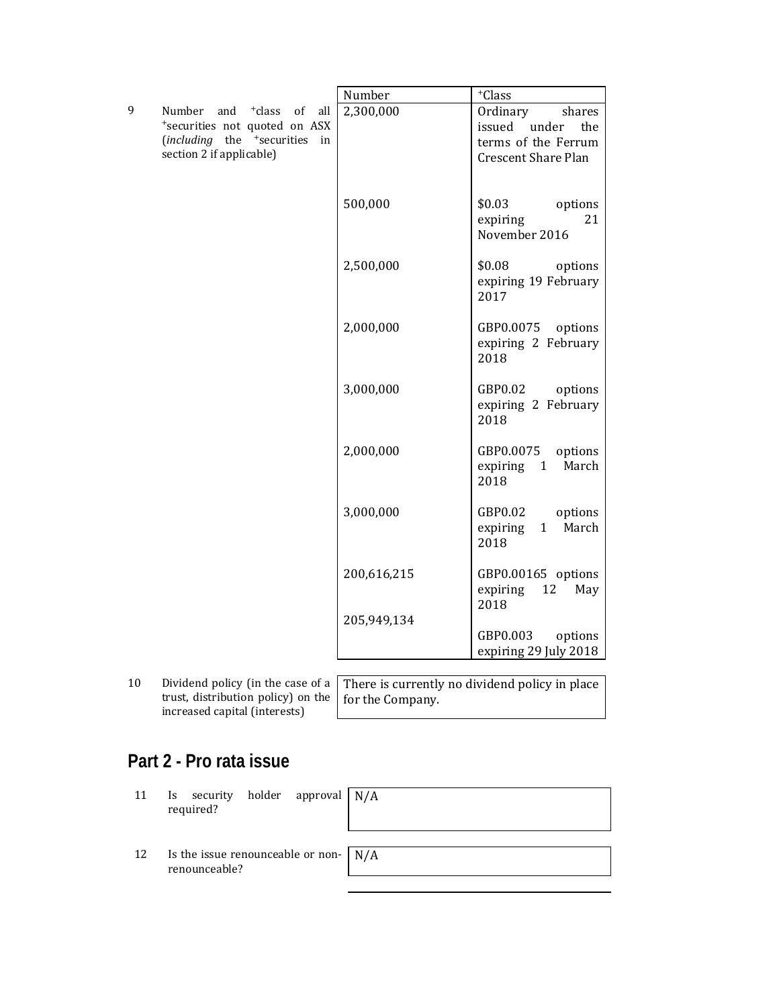|   |                                                                                                                                                               | Number      | $^+\mathrm{Class}$                                                                                |
|---|---------------------------------------------------------------------------------------------------------------------------------------------------------------|-------------|---------------------------------------------------------------------------------------------------|
| 9 | Number<br><sup>+</sup> class<br>and<br>of<br>all<br>*securities not quoted on ASX<br>(including the <sup>+</sup> securities<br>in<br>section 2 if applicable) | 2,300,000   | Ordinary<br>shares<br>issued<br>under<br>the<br>terms of the Ferrum<br><b>Crescent Share Plan</b> |
|   |                                                                                                                                                               | 500,000     | \$0.03<br>options<br>expiring<br>21<br>November 2016                                              |
|   |                                                                                                                                                               | 2,500,000   | \$0.08<br>options<br>expiring 19 February<br>2017                                                 |
|   |                                                                                                                                                               | 2,000,000   | GBP0.0075<br>options<br>expiring 2 February<br>2018                                               |
|   |                                                                                                                                                               | 3,000,000   | GBP0.02<br>options<br>expiring 2 February<br>2018                                                 |
|   |                                                                                                                                                               | 2,000,000   | GBP0.0075<br>options<br>expiring<br>$\mathbf{1}$<br>March<br>2018                                 |
|   |                                                                                                                                                               | 3,000,000   | GBP0.02<br>options<br>March<br>expiring<br>1<br>2018                                              |
|   |                                                                                                                                                               | 200,616,215 | GBP0.00165 options<br>12<br>expiring<br>May<br>2018                                               |
|   |                                                                                                                                                               | 205,949,134 | GBP0.003<br>options<br>expiring 29 July 2018                                                      |
|   |                                                                                                                                                               |             |                                                                                                   |

10 Dividend policy (in the case of a trust, distribution policy) on the increased capital (interests)

There is currently no dividend policy in place for the Company.

## **Part 2 - Pro rata issue**

- 11 Is security holder approval required? N/A
- 12 Is the issue renounceable or nonrenounceable? N/A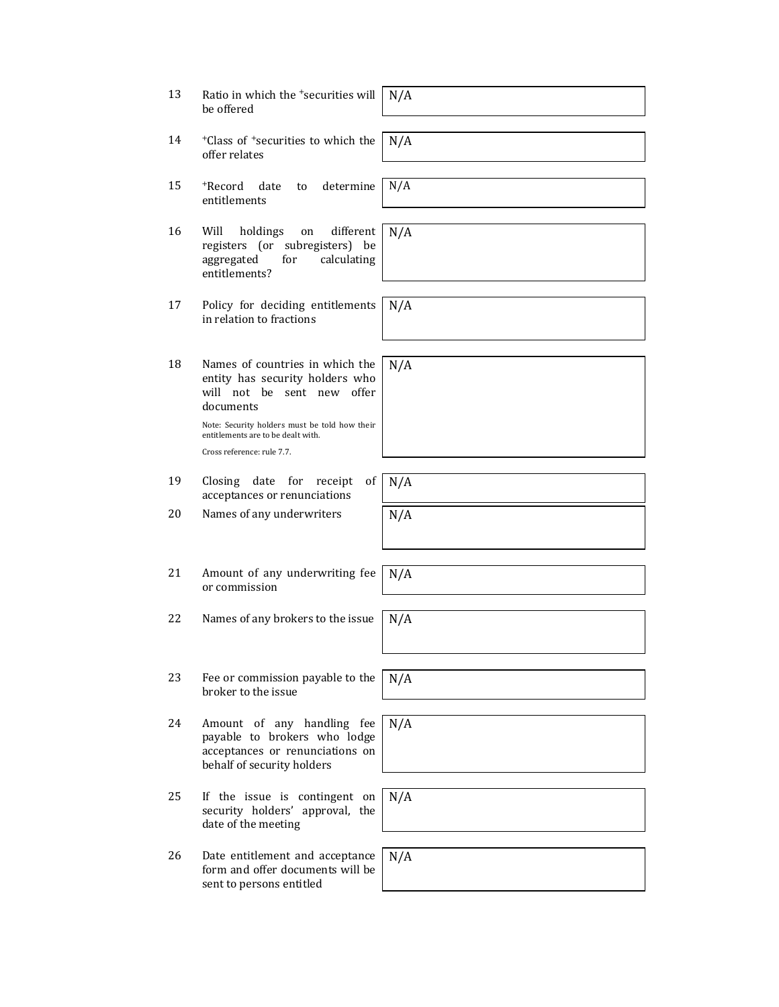| 13 | Ratio in which the <sup>+</sup> securities will<br>be offered                                                                                                                                                                      | N/A |
|----|------------------------------------------------------------------------------------------------------------------------------------------------------------------------------------------------------------------------------------|-----|
| 14 | <sup>+</sup> Class of <sup>+</sup> securities to which the<br>offer relates                                                                                                                                                        | N/A |
| 15 | determine<br>+Record<br>date<br>to<br>entitlements                                                                                                                                                                                 | N/A |
| 16 | Will<br>holdings<br>different<br>on<br>registers (or subregisters) be<br>calculating<br>aggregated<br>for<br>entitlements?                                                                                                         | N/A |
| 17 | Policy for deciding entitlements<br>in relation to fractions                                                                                                                                                                       | N/A |
| 18 | Names of countries in which the<br>entity has security holders who<br>will not be sent new offer<br>documents<br>Note: Security holders must be told how their<br>entitlements are to be dealt with.<br>Cross reference: rule 7.7. | N/A |
| 19 | Closing<br>date<br>of<br>for<br>receipt<br>acceptances or renunciations                                                                                                                                                            | N/A |
| 20 | Names of any underwriters                                                                                                                                                                                                          | N/A |
| 21 | Amount of any underwriting fee<br>or commission                                                                                                                                                                                    | N/A |
| 22 | Names of any brokers to the issue                                                                                                                                                                                                  | N/A |
| 23 | Fee or commission payable to the<br>broker to the issue                                                                                                                                                                            | N/A |
| 24 | Amount of any handling fee<br>payable to brokers who lodge<br>acceptances or renunciations on<br>behalf of security holders                                                                                                        | N/A |
| 25 | If the issue is contingent on<br>security holders' approval, the<br>date of the meeting                                                                                                                                            | N/A |
| 26 | Date entitlement and acceptance<br>form and offer documents will be<br>sent to persons entitled                                                                                                                                    | N/A |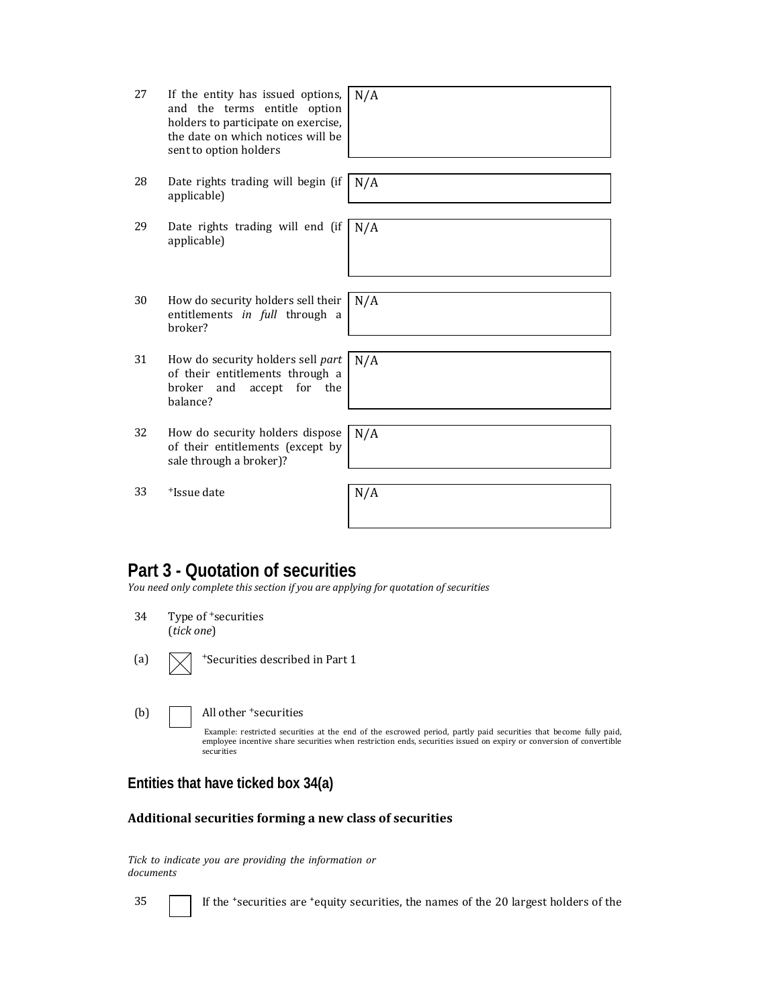| 27 | If the entity has issued options,<br>and the terms entitle option<br>holders to participate on exercise,<br>the date on which notices will be<br>sent to option holders | N/A |
|----|-------------------------------------------------------------------------------------------------------------------------------------------------------------------------|-----|
| 28 | Date rights trading will begin (if<br>applicable)                                                                                                                       | N/A |
| 29 | Date rights trading will end (if<br>applicable)                                                                                                                         | N/A |
| 30 | How do security holders sell their<br>entitlements in full through a<br>broker?                                                                                         | N/A |
| 31 | How do security holders sell part<br>of their entitlements through a<br>broker<br>for the<br>and<br>accept<br>balance?                                                  | N/A |
| 32 | How do security holders dispose<br>of their entitlements (except by<br>sale through a broker)?                                                                          | N/A |
| 33 | <sup>+</sup> Issue date                                                                                                                                                 | N/A |

## **Part 3 - Quotation of securities**

*You need only complete this section if you are applying for quotation of securities*

| 34  | Type of <sup>+</sup> securities<br>(tick one)                                                                                                                                                                                                                                              |
|-----|--------------------------------------------------------------------------------------------------------------------------------------------------------------------------------------------------------------------------------------------------------------------------------------------|
| (a) | <sup>+</sup> Securities described in Part 1                                                                                                                                                                                                                                                |
| (b) | All other <sup>+</sup> securities<br>Example: restricted securities at the end of the escrowed period, partly paid securities that become fully paid,<br>employee incentive share securities when restriction ends, securities issued on expiry or conversion of convertible<br>securities |

#### **Entities that have ticked box 34(a)**

#### **Additional securities forming a new class of securities**

*Tick to indicate you are providing the information or documents*

35 **If the 'securities are 'equity securities, the names of the 20 largest holders of the**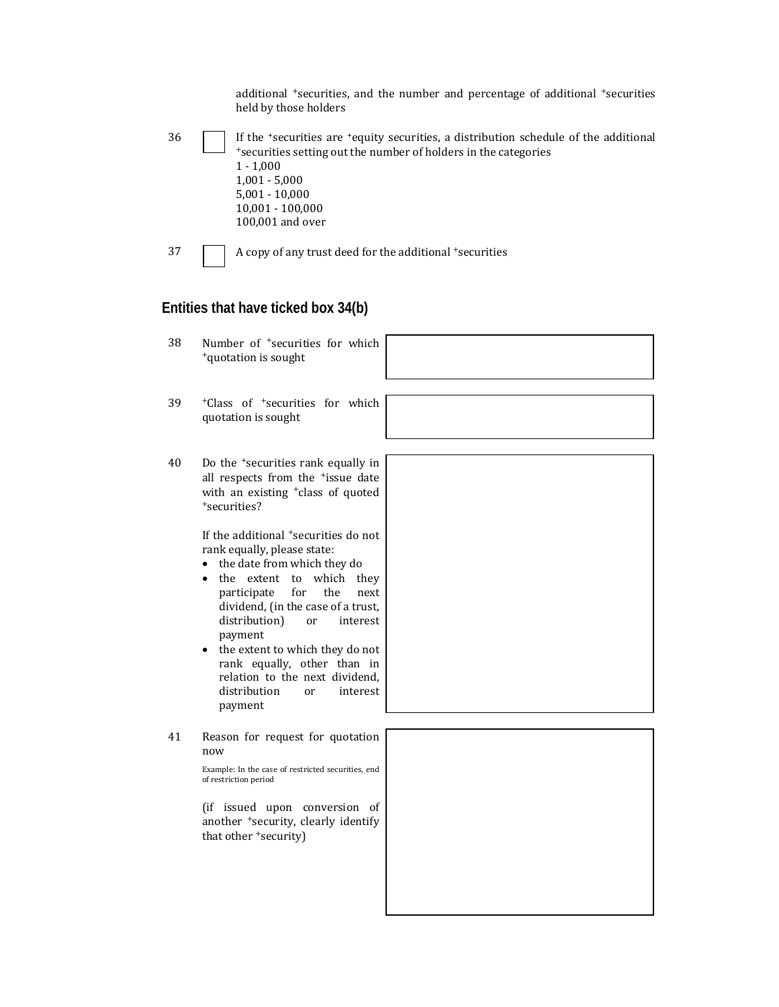|    | additional <sup>+</sup> securities, and the number and percentage of additional <sup>+</sup> securities<br>held by those holders                                                                                                                                                                                                                                                                                         |  |
|----|--------------------------------------------------------------------------------------------------------------------------------------------------------------------------------------------------------------------------------------------------------------------------------------------------------------------------------------------------------------------------------------------------------------------------|--|
| 36 | If the 'securities are 'equity securities, a distribution schedule of the additional<br>*securities setting out the number of holders in the categories<br>$1 - 1,000$<br>$1,001 - 5,000$<br>$5,001 - 10,000$<br>10,001 - 100,000<br>100,001 and over                                                                                                                                                                    |  |
| 37 | A copy of any trust deed for the additional +securities                                                                                                                                                                                                                                                                                                                                                                  |  |
|    | Entities that have ticked box 34(b)                                                                                                                                                                                                                                                                                                                                                                                      |  |
| 38 | Number of <sup>+</sup> securities for which<br><sup>+</sup> quotation is sought                                                                                                                                                                                                                                                                                                                                          |  |
| 39 | <sup>+</sup> Class of <sup>+</sup> securities for which<br>quotation is sought                                                                                                                                                                                                                                                                                                                                           |  |
| 40 | Do the <sup>+</sup> securities rank equally in<br>all respects from the <sup>+</sup> issue date<br>with an existing <sup>+</sup> class of quoted<br>+securities?                                                                                                                                                                                                                                                         |  |
|    | If the additional <sup>+</sup> securities do not<br>rank equally, please state:<br>• the date from which they do<br>• the extent to which they<br>participate<br>for<br>the<br>next<br>dividend, (in the case of a trust,<br>distribution)<br>interest<br>or<br>payment<br>the extent to which they do not<br>rank equally, other than in<br>relation to the next dividend,<br>distribution<br>interest<br>or<br>payment |  |
| 41 | Reason for request for quotation<br>now<br>Example: In the case of restricted securities, end<br>of restriction period<br>(if issued upon conversion of<br>another +security, clearly identify<br>that other 'security)                                                                                                                                                                                                  |  |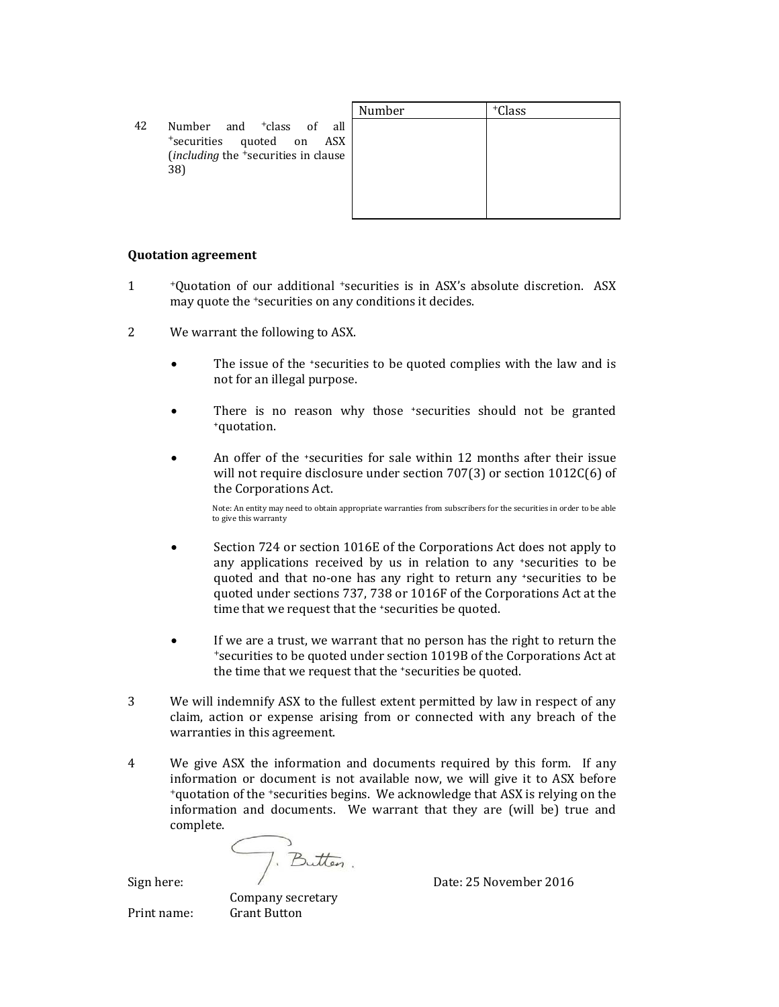|    |                                                                                                                                         | Number | <sup>+</sup> Class |
|----|-----------------------------------------------------------------------------------------------------------------------------------------|--------|--------------------|
| 42 | Number and <sup>+</sup> class of all<br>*securities quoted on<br>ASX<br>( <i>including</i> the <sup>+</sup> securities in clause<br>38) |        |                    |

#### **Quotation agreement**

- 1 +Quotation of our additional \*securities is in ASX's absolute discretion. ASX may quote the <sup>+</sup>securities on any conditions it decides.
- 2 We warrant the following to ASX.
	- The issue of the *\*securities* to be quoted complies with the law and is not for an illegal purpose.
	- There is no reason why those 'securities should not be granted +quotation.
	- An offer of the *securities* for sale within 12 months after their issue will not require disclosure under section  $707(3)$  or section  $1012C(6)$  of the Corporations Act.

Note: An entity may need to obtain appropriate warranties from subscribers for the securities in order to be able to give this warranty

- Section 724 or section 1016E of the Corporations Act does not apply to any applications received by us in relation to any  $\pm$  securities to be quoted and that no-one has any right to return any +securities to be quoted under sections 737, 738 or 1016F of the Corporations Act at the time that we request that the 'securities be quoted.
- If we are a trust, we warrant that no person has the right to return the +securities to be quoted under section 1019B of the Corporations Act at the time that we request that the 'securities be quoted.
- 3 We will indemnify ASX to the fullest extent permitted by law in respect of any claim, action or expense arising from or connected with any breach of the warranties in this agreement.
- 4 We give ASX the information and documents required by this form. If any information or document is not available now, we will give it to ASX before <sup>+</sup>quotation of the <sup>+</sup>securities begins. We acknowledge that ASX is relying on the information and documents. We warrant that they are (will be) true and complete.

Sign here: <br>Sign here: <br>Date: 25 November 2016

 Company secretary Print name: Grant Button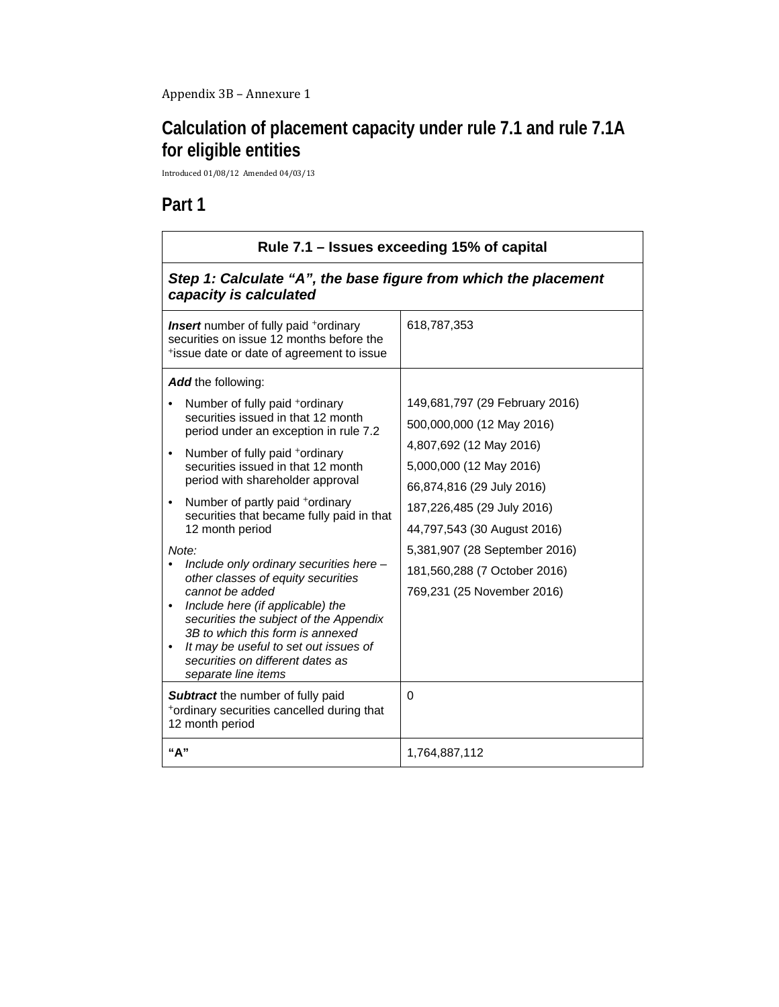## **Calculation of placement capacity under rule 7.1 and rule 7.1A for eligible entities**

Introduced 01/08/12 Amended 04/03/13 

## **Part 1**

| Rule 7.1 – Issues exceeding 15% of capital                                                                                                                                                                                                                                                                                                                                                                                                                                                                                                                                                                                                                                                                                                                                                                                                             |                                                                                                                                                                                                                                                                                                                        |  |
|--------------------------------------------------------------------------------------------------------------------------------------------------------------------------------------------------------------------------------------------------------------------------------------------------------------------------------------------------------------------------------------------------------------------------------------------------------------------------------------------------------------------------------------------------------------------------------------------------------------------------------------------------------------------------------------------------------------------------------------------------------------------------------------------------------------------------------------------------------|------------------------------------------------------------------------------------------------------------------------------------------------------------------------------------------------------------------------------------------------------------------------------------------------------------------------|--|
| Step 1: Calculate "A", the base figure from which the placement<br>capacity is calculated                                                                                                                                                                                                                                                                                                                                                                                                                                                                                                                                                                                                                                                                                                                                                              |                                                                                                                                                                                                                                                                                                                        |  |
| <b>Insert</b> number of fully paid <sup>+</sup> ordinary<br>securities on issue 12 months before the<br>tissue date or date of agreement to issue                                                                                                                                                                                                                                                                                                                                                                                                                                                                                                                                                                                                                                                                                                      | 618,787,353                                                                                                                                                                                                                                                                                                            |  |
| <b>Add</b> the following:<br>Number of fully paid +ordinary<br>securities issued in that 12 month<br>period under an exception in rule 7.2<br>Number of fully paid +ordinary<br>$\bullet$<br>securities issued in that 12 month<br>period with shareholder approval<br>Number of partly paid +ordinary<br>$\bullet$<br>securities that became fully paid in that<br>12 month period<br>Note:<br>Include only ordinary securities here -<br>other classes of equity securities<br>cannot be added<br>Include here (if applicable) the<br>$\bullet$<br>securities the subject of the Appendix<br>3B to which this form is annexed<br>It may be useful to set out issues of<br>$\bullet$<br>securities on different dates as<br>separate line items<br>Subtract the number of fully paid<br>+ordinary securities cancelled during that<br>12 month period | 149,681,797 (29 February 2016)<br>500,000,000 (12 May 2016)<br>4,807,692 (12 May 2016)<br>5,000,000 (12 May 2016)<br>66,874,816 (29 July 2016)<br>187,226,485 (29 July 2016)<br>44,797,543 (30 August 2016)<br>5,381,907 (28 September 2016)<br>181,560,288 (7 October 2016)<br>769,231 (25 November 2016)<br>$\Omega$ |  |
| "А"                                                                                                                                                                                                                                                                                                                                                                                                                                                                                                                                                                                                                                                                                                                                                                                                                                                    | 1,764,887,112                                                                                                                                                                                                                                                                                                          |  |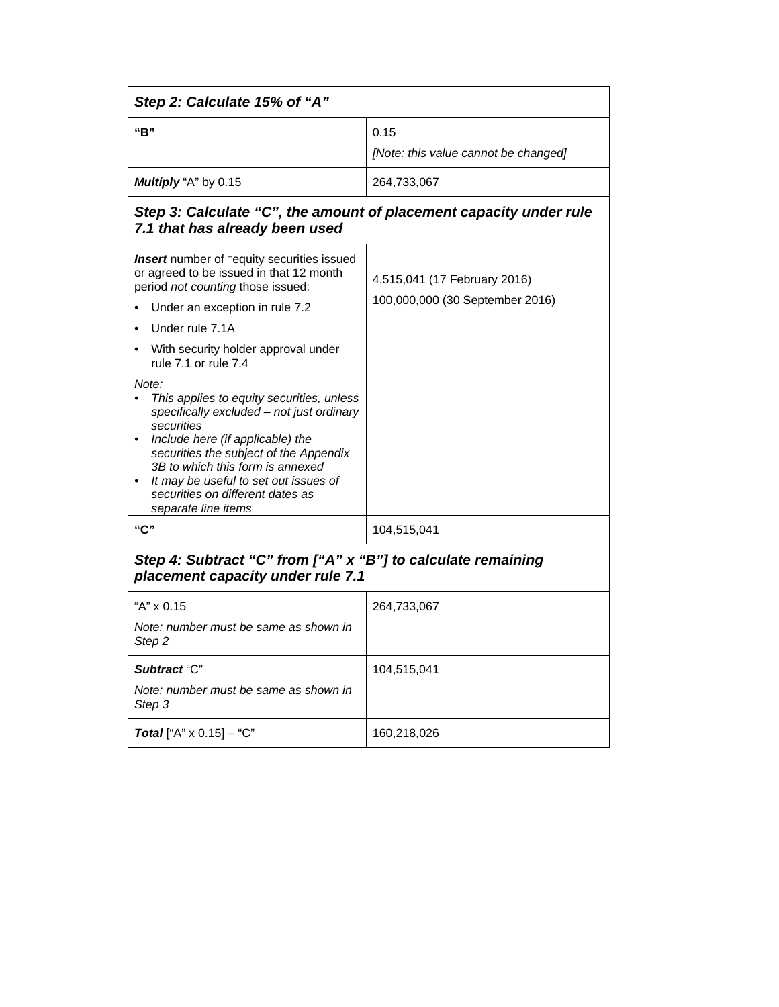| Step 2: Calculate 15% of "A"                                                                                                                                                                                                                                                                                                                     |                                      |  |
|--------------------------------------------------------------------------------------------------------------------------------------------------------------------------------------------------------------------------------------------------------------------------------------------------------------------------------------------------|--------------------------------------|--|
| "B"                                                                                                                                                                                                                                                                                                                                              | 0.15                                 |  |
|                                                                                                                                                                                                                                                                                                                                                  | [Note: this value cannot be changed] |  |
| Multiply "A" by 0.15                                                                                                                                                                                                                                                                                                                             | 264,733,067                          |  |
| Step 3: Calculate "C", the amount of placement capacity under rule<br>7.1 that has already been used                                                                                                                                                                                                                                             |                                      |  |
| <b>Insert</b> number of <sup>+</sup> equity securities issued<br>or agreed to be issued in that 12 month<br>period not counting those issued:                                                                                                                                                                                                    | 4,515,041 (17 February 2016)         |  |
| Under an exception in rule 7.2                                                                                                                                                                                                                                                                                                                   | 100,000,000 (30 September 2016)      |  |
| Under rule 7.1A                                                                                                                                                                                                                                                                                                                                  |                                      |  |
| With security holder approval under<br>rule 7.1 or rule 7.4                                                                                                                                                                                                                                                                                      |                                      |  |
| Note:<br>This applies to equity securities, unless<br>specifically excluded - not just ordinary<br>securities<br>Include here (if applicable) the<br>$\bullet$<br>securities the subject of the Appendix<br>3B to which this form is annexed<br>It may be useful to set out issues of<br>securities on different dates as<br>separate line items |                                      |  |
| "C"                                                                                                                                                                                                                                                                                                                                              | 104,515,041                          |  |
| Step 4: Subtract "C" from ["A" x "B"] to calculate remaining<br>placement capacity under rule 7.1                                                                                                                                                                                                                                                |                                      |  |
| "A" x 0.15                                                                                                                                                                                                                                                                                                                                       | 264,733,067                          |  |
| Note: number must be same as shown in<br>Step <sub>2</sub>                                                                                                                                                                                                                                                                                       |                                      |  |
| Subtract "C"                                                                                                                                                                                                                                                                                                                                     | 104,515,041                          |  |
| Note: number must be same as shown in<br>Step 3                                                                                                                                                                                                                                                                                                  |                                      |  |
| <b>Total</b> ["A" $\times$ 0.15] - "C"                                                                                                                                                                                                                                                                                                           | 160,218,026                          |  |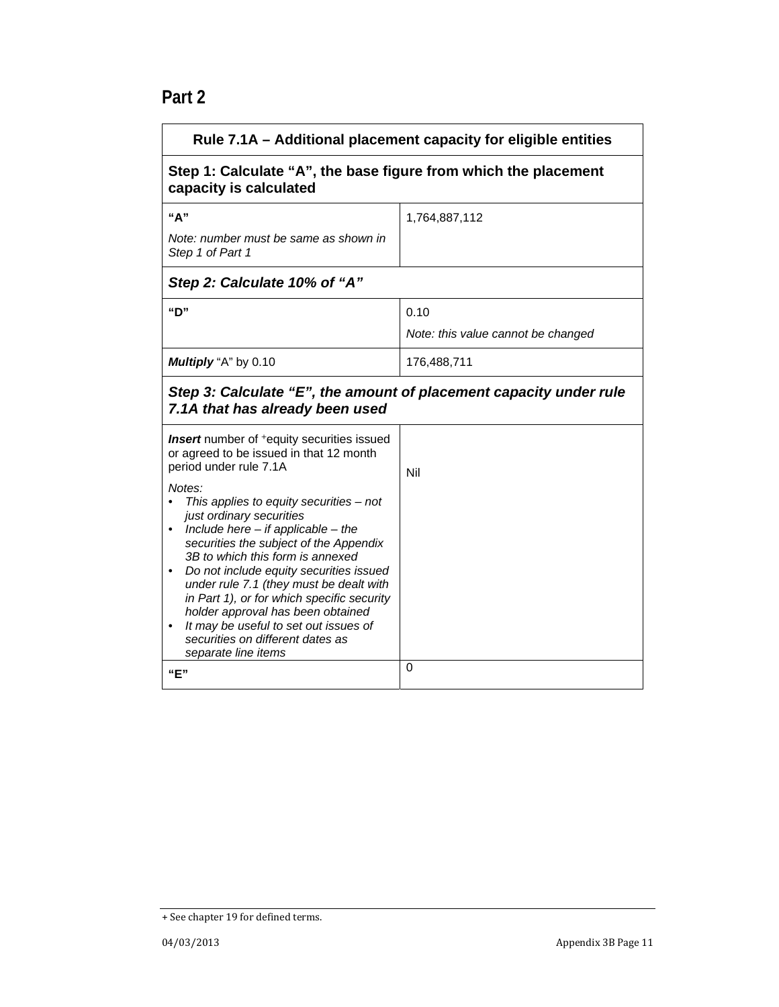| Rule 7.1A - Additional placement capacity for eligible entities                                                                                                                                                                                                                                                                                                                                                                                                                                                                                                                                                                                      |                                                                 |  |  |
|------------------------------------------------------------------------------------------------------------------------------------------------------------------------------------------------------------------------------------------------------------------------------------------------------------------------------------------------------------------------------------------------------------------------------------------------------------------------------------------------------------------------------------------------------------------------------------------------------------------------------------------------------|-----------------------------------------------------------------|--|--|
| capacity is calculated                                                                                                                                                                                                                                                                                                                                                                                                                                                                                                                                                                                                                               | Step 1: Calculate "A", the base figure from which the placement |  |  |
| "А"<br>Note: number must be same as shown in                                                                                                                                                                                                                                                                                                                                                                                                                                                                                                                                                                                                         | 1,764,887,112                                                   |  |  |
| Step 1 of Part 1                                                                                                                                                                                                                                                                                                                                                                                                                                                                                                                                                                                                                                     |                                                                 |  |  |
| Step 2: Calculate 10% of "A"                                                                                                                                                                                                                                                                                                                                                                                                                                                                                                                                                                                                                         |                                                                 |  |  |
| "D"                                                                                                                                                                                                                                                                                                                                                                                                                                                                                                                                                                                                                                                  | 0.10                                                            |  |  |
|                                                                                                                                                                                                                                                                                                                                                                                                                                                                                                                                                                                                                                                      | Note: this value cannot be changed                              |  |  |
| Multiply "A" by 0.10                                                                                                                                                                                                                                                                                                                                                                                                                                                                                                                                                                                                                                 | 176,488,711                                                     |  |  |
| Step 3: Calculate "E", the amount of placement capacity under rule<br>7.1A that has already been used                                                                                                                                                                                                                                                                                                                                                                                                                                                                                                                                                |                                                                 |  |  |
| <b>Insert</b> number of <sup>+</sup> equity securities issued<br>or agreed to be issued in that 12 month<br>period under rule 7.1A<br>Notes:<br>This applies to equity securities $-$ not<br>just ordinary securities<br>Include here $-$ if applicable $-$ the<br>$\bullet$<br>securities the subject of the Appendix<br>3B to which this form is annexed<br>Do not include equity securities issued<br>under rule 7.1 (they must be dealt with<br>in Part 1), or for which specific security<br>holder approval has been obtained<br>It may be useful to set out issues of<br>$\bullet$<br>securities on different dates as<br>separate line items | Nil                                                             |  |  |
| "F"                                                                                                                                                                                                                                                                                                                                                                                                                                                                                                                                                                                                                                                  | 0                                                               |  |  |

<sup>+</sup> See chapter 19 for defined terms.